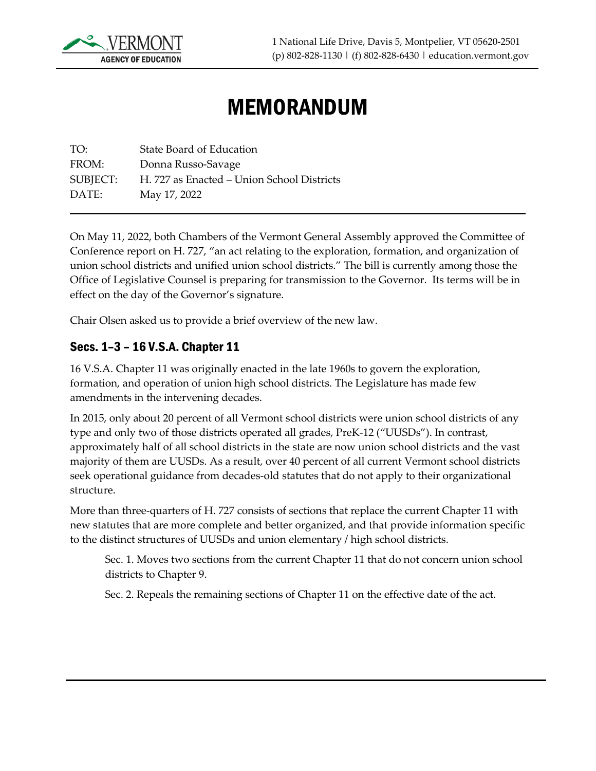

# MEMORANDUM

TO: State Board of Education FROM: Donna Russo-Savage SUBJECT: H. 727 as Enacted – Union School Districts DATE: May 17, 2022

On May 11, 2022, both Chambers of the Vermont General Assembly approved the Committee of Conference report on H. 727, "an act relating to the exploration, formation, and organization of union school districts and unified union school districts." The bill is currently among those the Office of Legislative Counsel is preparing for transmission to the Governor. Its terms will be in effect on the day of the Governor's signature.

Chair Olsen asked us to provide a brief overview of the new law.

#### Secs. 1–3 – 16 V.S.A. Chapter 11

16 V.S.A. Chapter 11 was originally enacted in the late 1960s to govern the exploration, formation, and operation of union high school districts. The Legislature has made few amendments in the intervening decades.

In 2015, only about 20 percent of all Vermont school districts were union school districts of any type and only two of those districts operated all grades, PreK-12 ("UUSDs"). In contrast, approximately half of all school districts in the state are now union school districts and the vast majority of them are UUSDs. As a result, over 40 percent of all current Vermont school districts seek operational guidance from decades-old statutes that do not apply to their organizational structure.

More than three-quarters of H. 727 consists of sections that replace the current Chapter 11 with new statutes that are more complete and better organized, and that provide information specific to the distinct structures of UUSDs and union elementary / high school districts.

Sec. 1. Moves two sections from the current Chapter 11 that do not concern union school districts to Chapter 9.

Sec. 2. Repeals the remaining sections of Chapter 11 on the effective date of the act.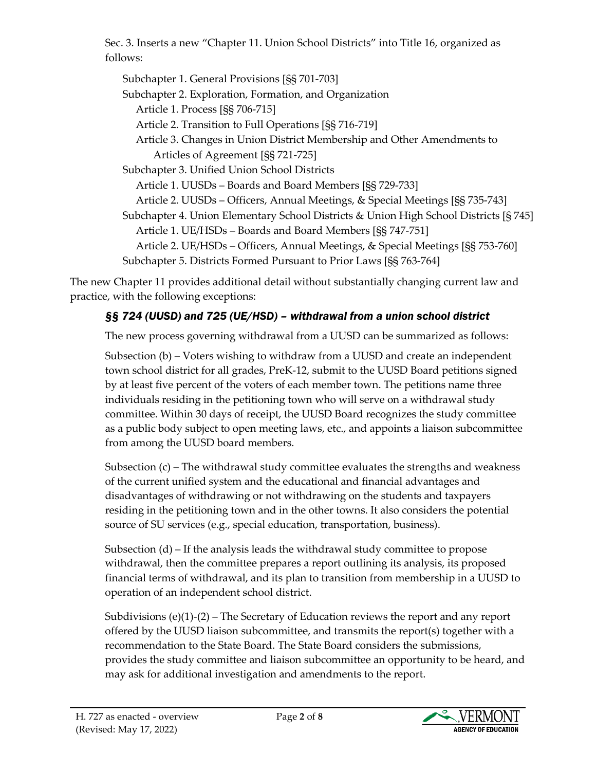Sec. 3. Inserts a new "Chapter 11. Union School Districts" into Title 16, organized as follows:

Subchapter 1. General Provisions [§§ 701-703] Subchapter 2. Exploration, Formation, and Organization Article 1. Process [§§ 706-715] Article 2. Transition to Full Operations [§§ 716-719] Article 3. Changes in Union District Membership and Other Amendments to Articles of Agreement [§§ 721-725] Subchapter 3. Unified Union School Districts Article 1. UUSDs – Boards and Board Members [§§ 729-733] Article 2. UUSDs – Officers, Annual Meetings, & Special Meetings [§§ 735-743] Subchapter 4. Union Elementary School Districts & Union High School Districts [§ 745] Article 1. UE/HSDs – Boards and Board Members [§§ 747-751] Article 2. UE/HSDs – Officers, Annual Meetings, & Special Meetings [§§ 753-760] Subchapter 5. Districts Formed Pursuant to Prior Laws [§§ 763-764]

The new Chapter 11 provides additional detail without substantially changing current law and practice, with the following exceptions:

# *§§ 724 (UUSD) and 725 (UE/HSD) – withdrawal from a union school district*

The new process governing withdrawal from a UUSD can be summarized as follows:

Subsection (b) – Voters wishing to withdraw from a UUSD and create an independent town school district for all grades, PreK-12, submit to the UUSD Board petitions signed by at least five percent of the voters of each member town. The petitions name three individuals residing in the petitioning town who will serve on a withdrawal study committee. Within 30 days of receipt, the UUSD Board recognizes the study committee as a public body subject to open meeting laws, etc., and appoints a liaison subcommittee from among the UUSD board members.

Subsection  $(c)$  – The withdrawal study committee evaluates the strengths and weakness of the current unified system and the educational and financial advantages and disadvantages of withdrawing or not withdrawing on the students and taxpayers residing in the petitioning town and in the other towns. It also considers the potential source of SU services (e.g., special education, transportation, business).

Subsection (d) – If the analysis leads the withdrawal study committee to propose withdrawal, then the committee prepares a report outlining its analysis, its proposed financial terms of withdrawal, and its plan to transition from membership in a UUSD to operation of an independent school district.

Subdivisions  $(e)(1)-(2)$  – The Secretary of Education reviews the report and any report offered by the UUSD liaison subcommittee, and transmits the report(s) together with a recommendation to the State Board. The State Board considers the submissions, provides the study committee and liaison subcommittee an opportunity to be heard, and may ask for additional investigation and amendments to the report.

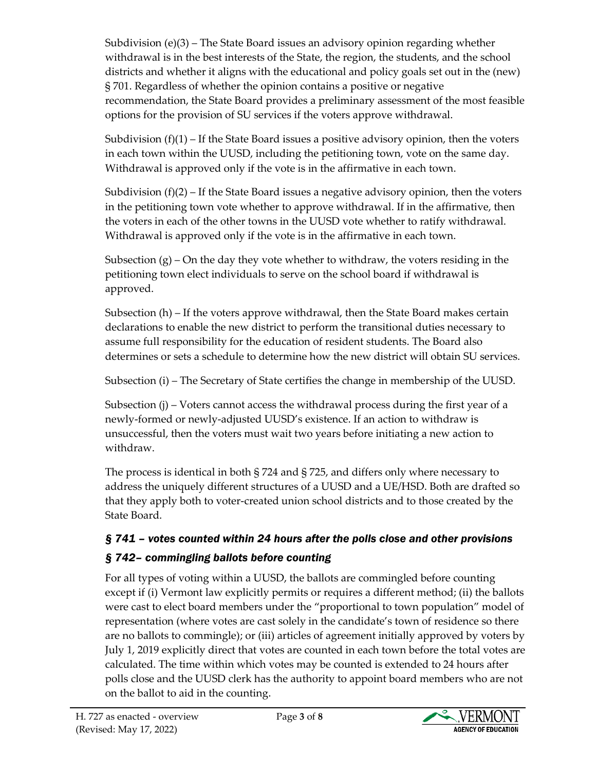Subdivision (e)(3) – The State Board issues an advisory opinion regarding whether withdrawal is in the best interests of the State, the region, the students, and the school districts and whether it aligns with the educational and policy goals set out in the (new) § 701. Regardless of whether the opinion contains a positive or negative recommendation, the State Board provides a preliminary assessment of the most feasible options for the provision of SU services if the voters approve withdrawal.

Subdivision  $(f)(1)$  – If the State Board issues a positive advisory opinion, then the voters in each town within the UUSD, including the petitioning town, vote on the same day. Withdrawal is approved only if the vote is in the affirmative in each town.

Subdivision  $(f)(2)$  – If the State Board issues a negative advisory opinion, then the voters in the petitioning town vote whether to approve withdrawal. If in the affirmative, then the voters in each of the other towns in the UUSD vote whether to ratify withdrawal. Withdrawal is approved only if the vote is in the affirmative in each town.

Subsection  $(g)$  – On the day they vote whether to withdraw, the voters residing in the petitioning town elect individuals to serve on the school board if withdrawal is approved.

Subsection (h) – If the voters approve withdrawal, then the State Board makes certain declarations to enable the new district to perform the transitional duties necessary to assume full responsibility for the education of resident students. The Board also determines or sets a schedule to determine how the new district will obtain SU services.

Subsection (i) – The Secretary of State certifies the change in membership of the UUSD.

Subsection (j) – Voters cannot access the withdrawal process during the first year of a newly-formed or newly-adjusted UUSD's existence. If an action to withdraw is unsuccessful, then the voters must wait two years before initiating a new action to withdraw.

The process is identical in both § 724 and § 725, and differs only where necessary to address the uniquely different structures of a UUSD and a UE/HSD. Both are drafted so that they apply both to voter-created union school districts and to those created by the State Board.

# *§ 741 – votes counted within 24 hours after the polls close and other provisions § 742– commingling ballots before counting*

For all types of voting within a UUSD, the ballots are commingled before counting except if (i) Vermont law explicitly permits or requires a different method; (ii) the ballots were cast to elect board members under the "proportional to town population" model of representation (where votes are cast solely in the candidate's town of residence so there are no ballots to commingle); or (iii) articles of agreement initially approved by voters by July 1, 2019 explicitly direct that votes are counted in each town before the total votes are calculated. The time within which votes may be counted is extended to 24 hours after polls close and the UUSD clerk has the authority to appoint board members who are not on the ballot to aid in the counting.

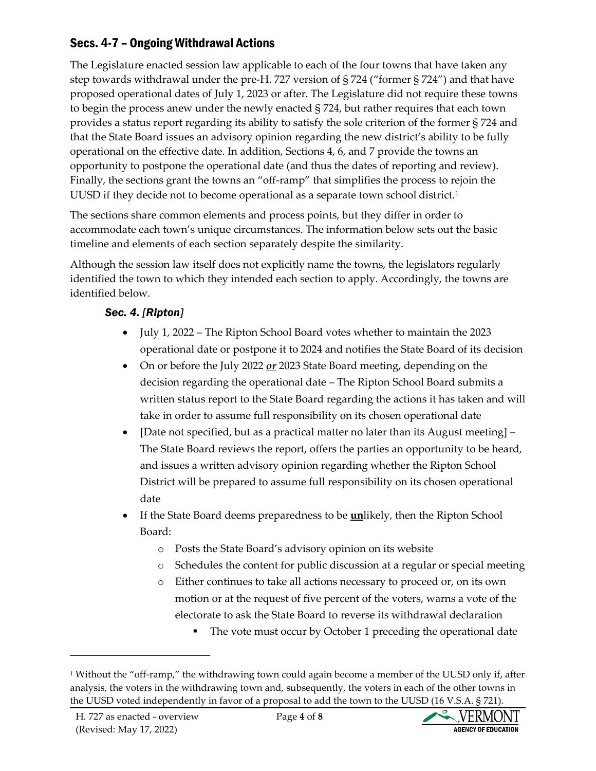## Secs. 4-7 – Ongoing Withdrawal Actions

The Legislature enacted session law applicable to each of the four towns that have taken any step towards withdrawal under the pre-H. 727 version of § 724 ("former § 724") and that have proposed operational dates of July 1, 2023 or after. The Legislature did not require these towns to begin the process anew under the newly enacted § 724, but rather requires that each town provides a status report regarding its ability to satisfy the sole criterion of the former § 724 and that the State Board issues an advisory opinion regarding the new district's ability to be fully operational on the effective date. In addition, Sections 4, 6, and 7 provide the towns an opportunity to postpone the operational date (and thus the dates of reporting and review). Finally, the sections grant the towns an "off-ramp" that simplifies the process to rejoin the UUSD if they decide not to become operational as a separate town school district.<sup>[1](#page-3-0)</sup>

The sections share common elements and process points, but they differ in order to accommodate each town's unique circumstances. The information below sets out the basic timeline and elements of each section separately despite the similarity.

Although the session law itself does not explicitly name the towns, the legislators regularly identified the town to which they intended each section to apply. Accordingly, the towns are identified below.

#### *Sec. 4. [Ripton]*

- July 1, 2022 The Ripton School Board votes whether to maintain the 2023 operational date or postpone it to 2024 and notifies the State Board of its decision
- On or before the July 2022 *or* 2023 State Board meeting, depending on the decision regarding the operational date – The Ripton School Board submits a written status report to the State Board regarding the actions it has taken and will take in order to assume full responsibility on its chosen operational date
- [Date not specified, but as a practical matter no later than its August meeting] The State Board reviews the report, offers the parties an opportunity to be heard, and issues a written advisory opinion regarding whether the Ripton School District will be prepared to assume full responsibility on its chosen operational date
- If the State Board deems preparedness to be **un**likely, then the Ripton School Board:
	- o Posts the State Board's advisory opinion on its website
	- o Schedules the content for public discussion at a regular or special meeting
	- o Either continues to take all actions necessary to proceed or, on its own motion or at the request of five percent of the voters, warns a vote of the electorate to ask the State Board to reverse its withdrawal declaration
		- The vote must occur by October 1 preceding the operational date



<span id="page-3-0"></span><sup>1</sup> Without the "off-ramp," the withdrawing town could again become a member of the UUSD only if, after analysis, the voters in the withdrawing town and, subsequently, the voters in each of the other towns in the UUSD voted independently in favor of a proposal to add the town to the UUSD (16 V.S.A. § 721).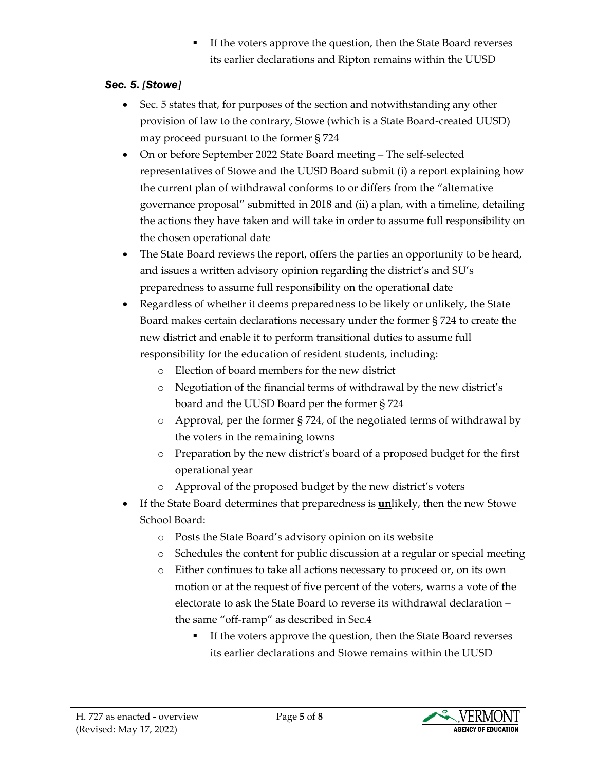If the voters approve the question, then the State Board reverses its earlier declarations and Ripton remains within the UUSD

### *Sec. 5. [Stowe]*

- Sec. 5 states that, for purposes of the section and notwithstanding any other provision of law to the contrary, Stowe (which is a State Board-created UUSD) may proceed pursuant to the former § 724
- On or before September 2022 State Board meeting The self-selected representatives of Stowe and the UUSD Board submit (i) a report explaining how the current plan of withdrawal conforms to or differs from the "alternative governance proposal" submitted in 2018 and (ii) a plan, with a timeline, detailing the actions they have taken and will take in order to assume full responsibility on the chosen operational date
- The State Board reviews the report, offers the parties an opportunity to be heard, and issues a written advisory opinion regarding the district's and SU's preparedness to assume full responsibility on the operational date
- Regardless of whether it deems preparedness to be likely or unlikely, the State Board makes certain declarations necessary under the former § 724 to create the new district and enable it to perform transitional duties to assume full responsibility for the education of resident students, including:
	- o Election of board members for the new district
	- o Negotiation of the financial terms of withdrawal by the new district's board and the UUSD Board per the former § 724
	- o Approval, per the former § 724, of the negotiated terms of withdrawal by the voters in the remaining towns
	- o Preparation by the new district's board of a proposed budget for the first operational year
	- o Approval of the proposed budget by the new district's voters
- If the State Board determines that preparedness is **un**likely, then the new Stowe School Board:
	- o Posts the State Board's advisory opinion on its website
	- o Schedules the content for public discussion at a regular or special meeting
	- o Either continues to take all actions necessary to proceed or, on its own motion or at the request of five percent of the voters, warns a vote of the electorate to ask the State Board to reverse its withdrawal declaration – the same "off-ramp" as described in Sec.4
		- If the voters approve the question, then the State Board reverses its earlier declarations and Stowe remains within the UUSD

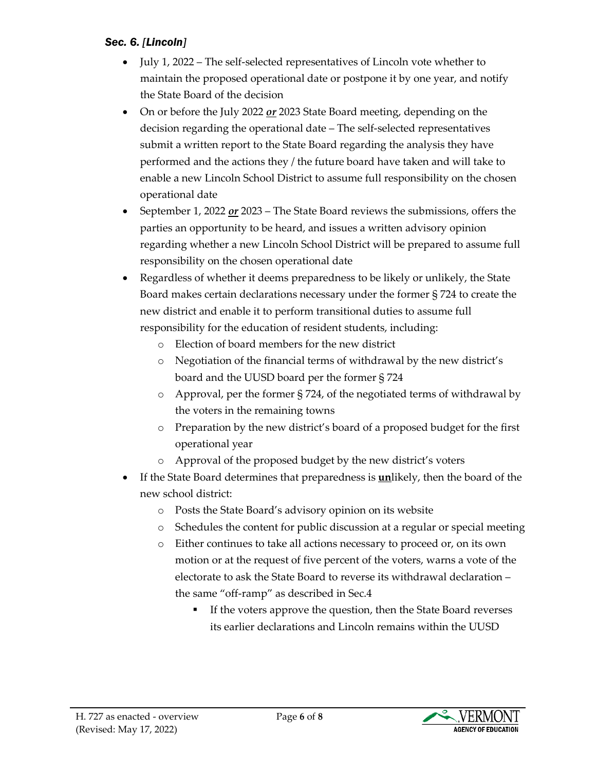#### *Sec. 6. [Lincoln]*

- July 1, 2022 The self-selected representatives of Lincoln vote whether to maintain the proposed operational date or postpone it by one year, and notify the State Board of the decision
- On or before the July 2022 *or* 2023 State Board meeting, depending on the decision regarding the operational date – The self-selected representatives submit a written report to the State Board regarding the analysis they have performed and the actions they / the future board have taken and will take to enable a new Lincoln School District to assume full responsibility on the chosen operational date
- September 1, 2022 *or* 2023 The State Board reviews the submissions, offers the parties an opportunity to be heard, and issues a written advisory opinion regarding whether a new Lincoln School District will be prepared to assume full responsibility on the chosen operational date
- Regardless of whether it deems preparedness to be likely or unlikely, the State Board makes certain declarations necessary under the former § 724 to create the new district and enable it to perform transitional duties to assume full responsibility for the education of resident students, including:
	- o Election of board members for the new district
	- o Negotiation of the financial terms of withdrawal by the new district's board and the UUSD board per the former § 724
	- o Approval, per the former § 724, of the negotiated terms of withdrawal by the voters in the remaining towns
	- o Preparation by the new district's board of a proposed budget for the first operational year
	- o Approval of the proposed budget by the new district's voters
- If the State Board determines that preparedness is **un**likely, then the board of the new school district:
	- o Posts the State Board's advisory opinion on its website
	- o Schedules the content for public discussion at a regular or special meeting
	- o Either continues to take all actions necessary to proceed or, on its own motion or at the request of five percent of the voters, warns a vote of the electorate to ask the State Board to reverse its withdrawal declaration – the same "off-ramp" as described in Sec.4
		- If the voters approve the question, then the State Board reverses its earlier declarations and Lincoln remains within the UUSD

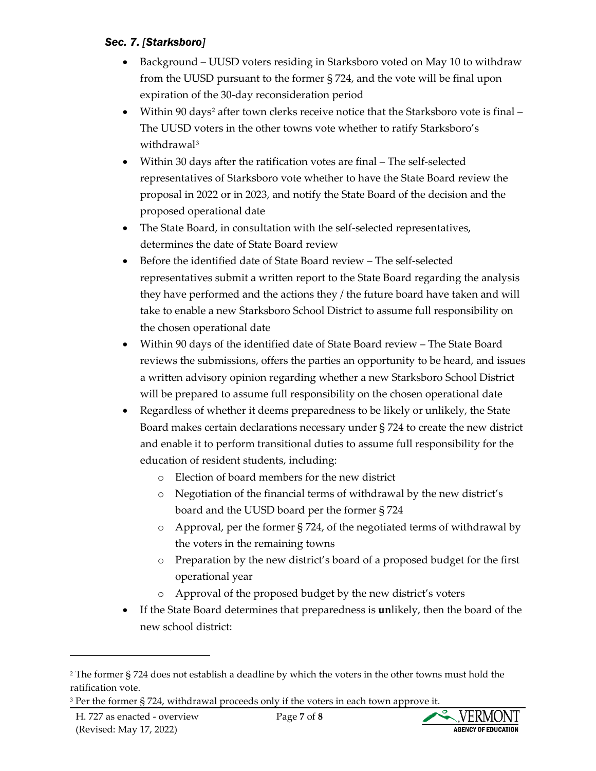#### *Sec. 7. [Starksboro]*

- Background UUSD voters residing in Starksboro voted on May 10 to withdraw from the UUSD pursuant to the former § 724, and the vote will be final upon expiration of the 30-day reconsideration period
- Within 90 days<sup>2</sup> after town clerks receive notice that the Starksboro vote is final -The UUSD voters in the other towns vote whether to ratify Starksboro's withdrawal [3](#page-6-1)
- Within 30 days after the ratification votes are final The self-selected representatives of Starksboro vote whether to have the State Board review the proposal in 2022 or in 2023, and notify the State Board of the decision and the proposed operational date
- The State Board, in consultation with the self-selected representatives, determines the date of State Board review
- Before the identified date of State Board review The self-selected representatives submit a written report to the State Board regarding the analysis they have performed and the actions they / the future board have taken and will take to enable a new Starksboro School District to assume full responsibility on the chosen operational date
- Within 90 days of the identified date of State Board review The State Board reviews the submissions, offers the parties an opportunity to be heard, and issues a written advisory opinion regarding whether a new Starksboro School District will be prepared to assume full responsibility on the chosen operational date
- Regardless of whether it deems preparedness to be likely or unlikely, the State Board makes certain declarations necessary under § 724 to create the new district and enable it to perform transitional duties to assume full responsibility for the education of resident students, including:
	- o Election of board members for the new district
	- o Negotiation of the financial terms of withdrawal by the new district's board and the UUSD board per the former § 724
	- o Approval, per the former § 724, of the negotiated terms of withdrawal by the voters in the remaining towns
	- o Preparation by the new district's board of a proposed budget for the first operational year
	- o Approval of the proposed budget by the new district's voters
- If the State Board determines that preparedness is **un**likely, then the board of the new school district:



<span id="page-6-0"></span><sup>2</sup> The former § 724 does not establish a deadline by which the voters in the other towns must hold the ratification vote.

<span id="page-6-1"></span><sup>&</sup>lt;sup>3</sup> Per the former § 724, withdrawal proceeds only if the voters in each town approve it.